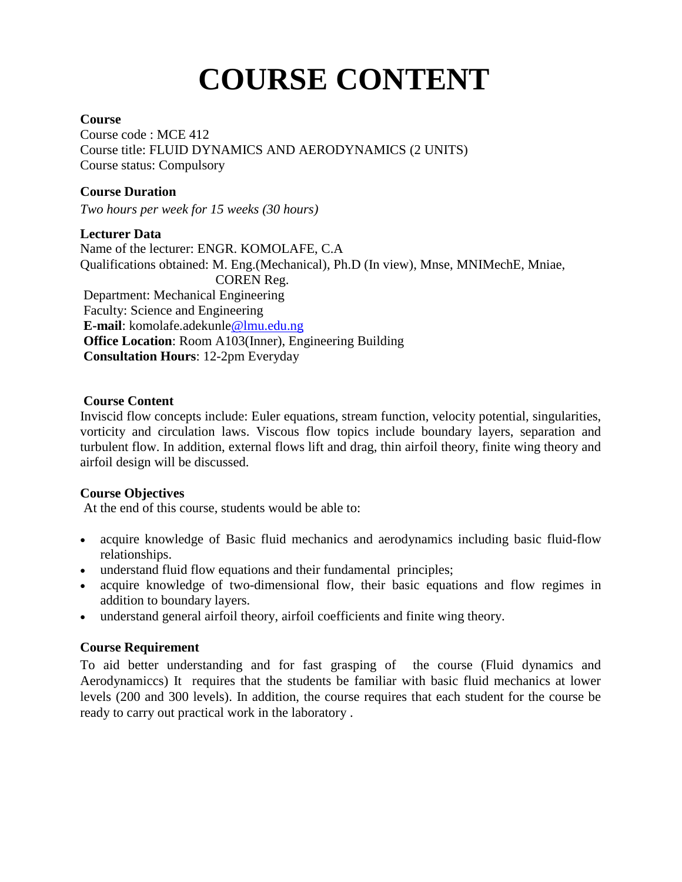# **COURSE CONTENT**

#### **Course**

Course code : MCE 412 Course title: FLUID DYNAMICS AND AERODYNAMICS (2 UNITS) Course status: Compulsory

## **Course Duration**

*Two hours per week for 15 weeks (30 hours)*

#### **Lecturer Data**

Name of the lecturer: ENGR. KOMOLAFE, C.A Qualifications obtained: M. Eng.(Mechanical), Ph.D (In view), Mnse, MNIMechE, Mniae, COREN Reg. Department: Mechanical Engineering Faculty: Science and Engineering **E-mail**: komolafe.adekunle@lmu.edu.ng **Office Location**: Room A103(Inner), Engineering Building **Consultation Hours**: 12-2pm Everyday

#### **Course Content**

Inviscid flow concepts include: Euler equations, stream function, velocity potential, singularities, vorticity and circulation laws. Viscous flow topics include boundary layers, separation and turbulent flow. In addition, external flows lift and drag, thin airfoil theory, finite wing theory and airfoil design will be discussed.

## **Course Objectives**

At the end of this course, students would be able to:

- acquire knowledge of Basic fluid mechanics and aerodynamics including basic fluid-flow relationships.
- understand fluid flow equations and their fundamental principles;
- acquire knowledge of two-dimensional flow, their basic equations and flow regimes in addition to boundary layers.
- understand general airfoil theory, airfoil coefficients and finite wing theory.

## **Course Requirement**

To aid better understanding and for fast grasping of the course (Fluid dynamics and Aerodynamiccs) It requires that the students be familiar with basic fluid mechanics at lower levels (200 and 300 levels). In addition, the course requires that each student for the course be ready to carry out practical work in the laboratory .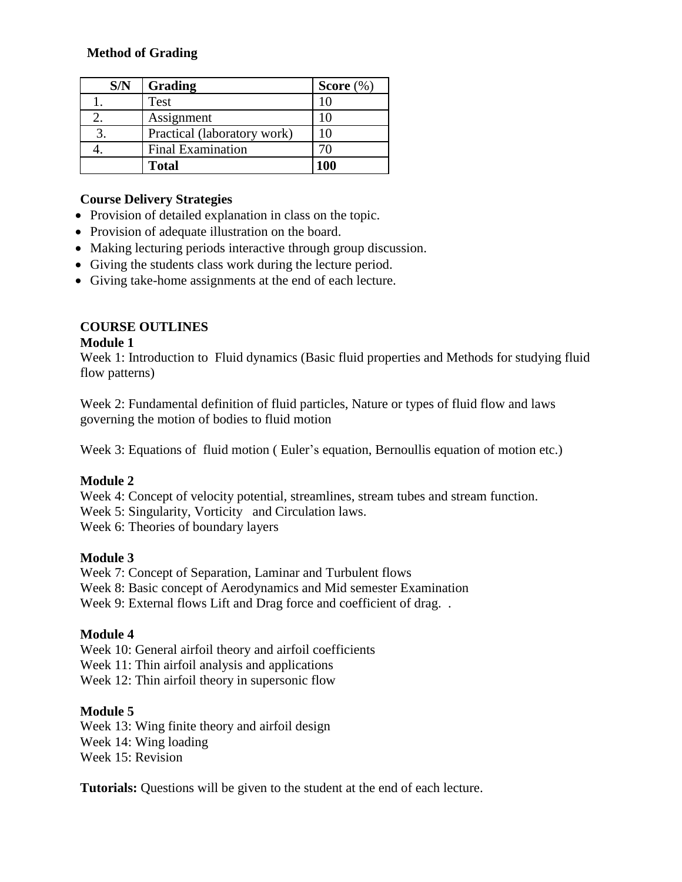## **Method of Grading**

| S/N | Grading                     | Score $(\%)$ |
|-----|-----------------------------|--------------|
|     | Test                        |              |
|     | Assignment                  |              |
|     | Practical (laboratory work) |              |
|     | <b>Final Examination</b>    |              |
|     | <b>Total</b>                | 100          |

## **Course Delivery Strategies**

- Provision of detailed explanation in class on the topic.
- Provision of adequate illustration on the board.
- Making lecturing periods interactive through group discussion.
- Giving the students class work during the lecture period.
- Giving take-home assignments at the end of each lecture.

# **COURSE OUTLINES**

## **Module 1**

Week 1: Introduction to Fluid dynamics (Basic fluid properties and Methods for studying fluid flow patterns)

Week 2: Fundamental definition of fluid particles, Nature or types of fluid flow and laws governing the motion of bodies to fluid motion

Week 3: Equations of fluid motion ( Euler's equation, Bernoullis equation of motion etc.)

# **Module 2**

Week 4: Concept of velocity potential, streamlines, stream tubes and stream function.

Week 5: Singularity, Vorticity and Circulation laws.

Week 6: Theories of boundary layers

# **Module 3**

Week 7: Concept of Separation, Laminar and Turbulent flows Week 8: Basic concept of Aerodynamics and Mid semester Examination Week 9: External flows Lift and Drag force and coefficient of drag. .

# **Module 4**

Week 10: General airfoil theory and airfoil coefficients

Week 11: Thin airfoil analysis and applications

Week 12: Thin airfoil theory in supersonic flow

## **Module 5**

Week 13: Wing finite theory and airfoil design Week 14: Wing loading Week 15: Revision

**Tutorials:** Questions will be given to the student at the end of each lecture.